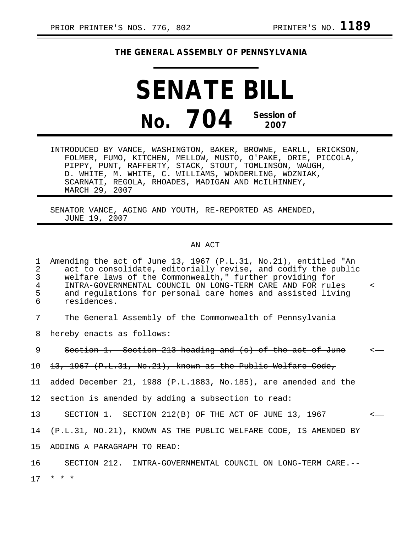## **THE GENERAL ASSEMBLY OF PENNSYLVANIA**

**SENATE BILL No. 704 Session of 2007**

INTRODUCED BY VANCE, WASHINGTON, BAKER, BROWNE, EARLL, ERICKSON, FOLMER, FUMO, KITCHEN, MELLOW, MUSTO, O'PAKE, ORIE, PICCOLA, PIPPY, PUNT, RAFFERTY, STACK, STOUT, TOMLINSON, WAUGH, D. WHITE, M. WHITE, C. WILLIAMS, WONDERLING, WOZNIAK, SCARNATI, REGOLA, RHOADES, MADIGAN AND McILHINNEY, MARCH 29, 2007

SENATOR VANCE, AGING AND YOUTH, RE-REPORTED AS AMENDED, JUNE 19, 2007

## AN ACT

1 Amending the act of June 13, 1967 (P.L.31, No.21), entitled "An 2 act to consolidate, editorially revise, and codify the public<br>3 welfare laws of the Commonwealth." further providing for 3 welfare laws of the Commonwealth," further providing for 4 INTRA-GOVERNMENTAL COUNCIL ON LONG-TERM CARE AND FOR rules < 5 and regulations for personal care homes and assisted living<br>6 residences 6 residences. 7 The General Assembly of the Commonwealth of Pennsylvania 8 hereby enacts as follows: 9 Section 1. Section 213 heading and (c) of the act of June 10 13, 1967 (P.L.31, No.21), known as the Public Welfare Code, 11 added December 21, 1988 (P.L.1883, No.185), are amended and the 12 section is amended by adding a subsection to read: 13 SECTION 1. SECTION 212(B) OF THE ACT OF JUNE 13, 1967 < 14 (P.L.31, NO.21), KNOWN AS THE PUBLIC WELFARE CODE, IS AMENDED BY 15 ADDING A PARAGRAPH TO READ: 16 SECTION 212. INTRA-GOVERNMENTAL COUNCIL ON LONG-TERM CARE.-- 17 \* \* \*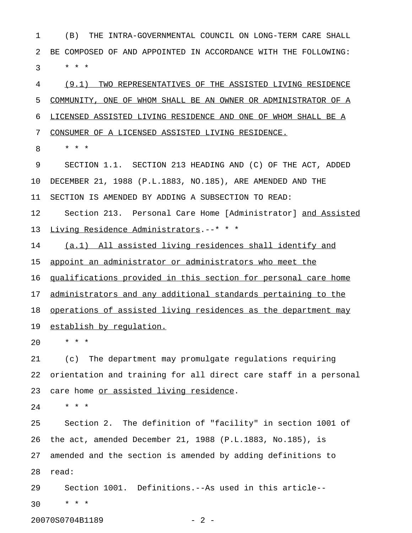1 (B) THE INTRA-GOVERNMENTAL COUNCIL ON LONG-TERM CARE SHALL 2 BE COMPOSED OF AND APPOINTED IN ACCORDANCE WITH THE FOLLOWING:  $3 * * * *$ 

4 (9.1) TWO REPRESENTATIVES OF THE ASSISTED LIVING RESIDENCE 5 COMMUNITY, ONE OF WHOM SHALL BE AN OWNER OR ADMINISTRATOR OF A 6 LICENSED ASSISTED LIVING RESIDENCE AND ONE OF WHOM SHALL BE A 7 CONSUMER OF A LICENSED ASSISTED LIVING RESIDENCE.

8 \* \* \*

9 SECTION 1.1. SECTION 213 HEADING AND (C) OF THE ACT, ADDED 10 DECEMBER 21, 1988 (P.L.1883, NO.185), ARE AMENDED AND THE 11 SECTION IS AMENDED BY ADDING A SUBSECTION TO READ: 12 Section 213. Personal Care Home [Administrator] and Assisted 13 Living Residence Administrators.--\* \* \*

14 (a.1) All assisted living residences shall identify and

15 appoint an administrator or administrators who meet the

16 qualifications provided in this section for personal care home

17 administrators and any additional standards pertaining to the

18 operations of assisted living residences as the department may

19 establish by requlation.

20 \* \* \*

21 (c) The department may promulgate regulations requiring 22 orientation and training for all direct care staff in a personal 23 care home or assisted living residence.

24 \* \* \*

25 Section 2. The definition of "facility" in section 1001 of 26 the act, amended December 21, 1988 (P.L.1883, No.185), is 27 amended and the section is amended by adding definitions to 28 read:

29 Section 1001. Definitions.--As used in this article-- 30 \* \* \*

20070S0704B1189 - 2 -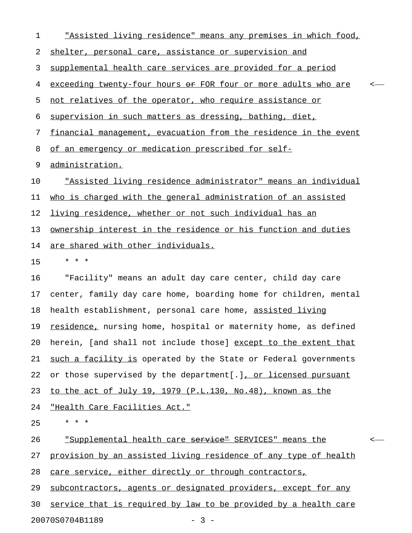1 This assisted living residence" means any premises in which food, 2 shelter, personal care, assistance or supervision and 3 supplemental health care services are provided for a period 4 exceeding twenty-four hours or FOR four or more adults who are 5 not relatives of the operator, who require assistance or 6 supervision in such matters as dressing, bathing, diet, 7 financial management, evacuation from the residence in the event 8 of an emergency or medication prescribed for self-9 administration. 10 "Assisted living residence administrator" means an individual 11 who is charged with the general administration of an assisted 12 living residence, whether or not such individual has an 13 ownership interest in the residence or his function and duties 14 are shared with other individuals. 15 \* \* \* 16 "Facility" means an adult day care center, child day care 17 center, family day care home, boarding home for children, mental 18 health establishment, personal care home, assisted living 19 residence, nursing home, hospital or maternity home, as defined 20 herein, [and shall not include those] except to the extent that 21 <u>such a facility is</u> operated by the State or Federal governments 22 or those supervised by the department[.], or licensed pursuant 23 to the act of July 19, 1979 (P.L.130, No.48), known as the 24 "Health Care Facilities Act."  $25 \times * * *$ 26 "Supplemental health care <del>service"</del> SERVICES" means the <-27 provision by an assisted living residence of any type of health 28 care service, either directly or through contractors, 29 subcontractors, agents or designated providers, except for any

30 service that is required by law to be provided by a health care

20070S0704B1189 - 3 -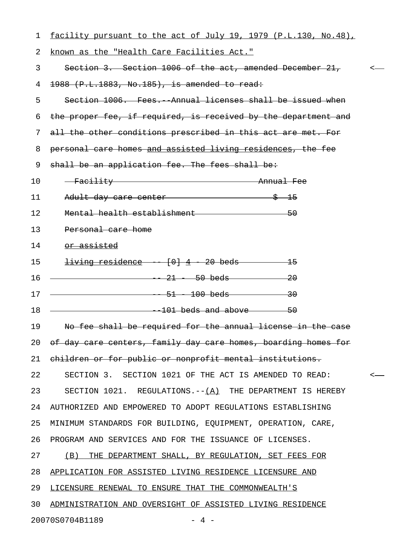| 1  | facility pursuant to the act of July 19, 1979 (P.L.130, No.48), |              |
|----|-----------------------------------------------------------------|--------------|
| 2  | known as the "Health Care Facilities Act."                      |              |
| 3  | Section 3. Section 1006 of the act, amended December 21, $\sim$ |              |
| 4  | $1988$ (P.L.1883, No.185), is amended to read:                  |              |
| 5  | Section 1006. Fees. Annual licenses shall be issued when        |              |
| 6  | the proper fee, if required, is received by the department and  |              |
| 7  | all the other conditions prescribed in this act are met. For    |              |
| 8  | personal care homes and assisted living residences, the fee     |              |
| 9  | shall be an application fee. The fees shall be:                 |              |
| 10 | - Facility Annual Fee                                           |              |
| 11 | Adult day care center 3 15                                      |              |
| 12 | Mental health establishment 50                                  |              |
| 13 | Personal care home                                              |              |
| 14 | or assisted                                                     |              |
| 15 | $iving residue = \{0\} \{4\} \{20\} \{0\}$                      |              |
| 16 | $-21 - 50$ beds $-20$                                           |              |
| 17 | $\frac{1}{51}$ - 100 beds - 30                                  |              |
| 18 |                                                                 |              |
| 19 | No fee shall be required for the annual license in the case     |              |
| 20 | of day care centers, family day care homes, boarding homes for  |              |
| 21 | children or for public or nonprofit mental institutions.        |              |
| 22 | SECTION 3. SECTION 1021 OF THE ACT IS AMENDED TO READ:          | $\leftarrow$ |
| 23 | SECTION 1021. REGULATIONS. $-(-1)^2$ THE DEPARTMENT IS HEREBY   |              |
| 24 | AUTHORIZED AND EMPOWERED TO ADOPT REGULATIONS ESTABLISHING      |              |
| 25 | MINIMUM STANDARDS FOR BUILDING, EQUIPMENT, OPERATION, CARE,     |              |
| 26 | PROGRAM AND SERVICES AND FOR THE ISSUANCE OF LICENSES.          |              |
| 27 | (B) THE DEPARTMENT SHALL, BY REGULATION, SET FEES FOR           |              |
| 28 | APPLICATION FOR ASSISTED LIVING RESIDENCE LICENSURE AND         |              |
| 29 | LICENSURE RENEWAL TO ENSURE THAT THE COMMONWEALTH'S             |              |
| 30 | ADMINISTRATION AND OVERSIGHT OF ASSISTED LIVING RESIDENCE       |              |
|    | 20070S0704B1189<br>$-4$ $-$                                     |              |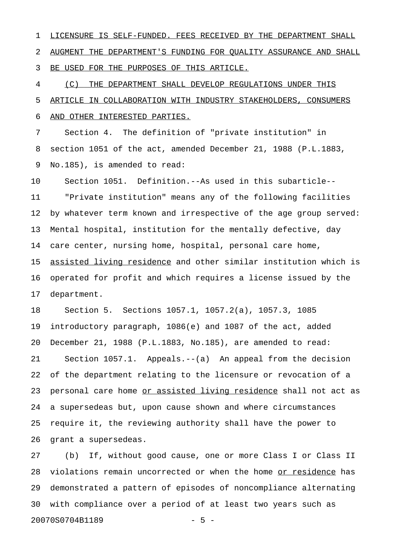1 LICENSURE IS SELF-FUNDED. FEES RECEIVED BY THE DEPARTMENT SHALL 2 AUGMENT THE DEPARTMENT'S FUNDING FOR QUALITY ASSURANCE AND SHALL 3 BE USED FOR THE PURPOSES OF THIS ARTICLE.

4  $(C)$  THE DEPARTMENT SHALL DEVELOP REGULATIONS UNDER THIS 5 ARTICLE IN COLLABORATION WITH INDUSTRY STAKEHOLDERS, CONSUMERS 6 AND OTHER INTERESTED PARTIES.

7 Section 4. The definition of "private institution" in 8 section 1051 of the act, amended December 21, 1988 (P.L.1883, 9 No.185), is amended to read:

10 Section 1051. Definition.--As used in this subarticle-- 11 "Private institution" means any of the following facilities 12 by whatever term known and irrespective of the age group served: 13 Mental hospital, institution for the mentally defective, day 14 care center, nursing home, hospital, personal care home, 15 <u>assisted living residence</u> and other similar institution which is 16 operated for profit and which requires a license issued by the 17 department.

18 Section 5. Sections 1057.1, 1057.2(a), 1057.3, 1085 19 introductory paragraph, 1086(e) and 1087 of the act, added 20 December 21, 1988 (P.L.1883, No.185), are amended to read: 21 Section 1057.1. Appeals.--(a) An appeal from the decision 22 of the department relating to the licensure or revocation of a 23 personal care home or assisted living residence shall not act as 24 a supersedeas but, upon cause shown and where circumstances 25 require it, the reviewing authority shall have the power to 26 grant a supersedeas.

27 (b) If, without good cause, one or more Class I or Class II 28 violations remain uncorrected or when the home or residence has 29 demonstrated a pattern of episodes of noncompliance alternating 30 with compliance over a period of at least two years such as 20070S0704B1189 - 5 -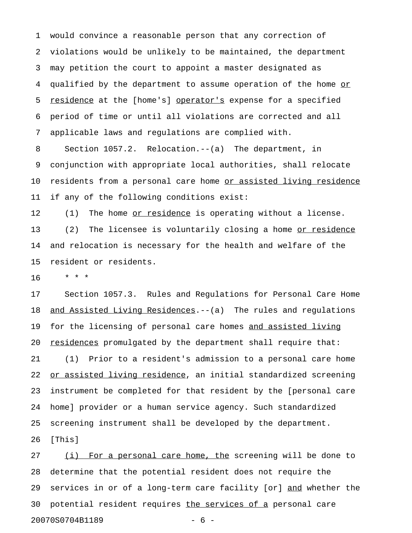1 would convince a reasonable person that any correction of 2 violations would be unlikely to be maintained, the department 3 may petition the court to appoint a master designated as 4 qualified by the department to assume operation of the home or 5 residence at the [home's] operator's expense for a specified 6 period of time or until all violations are corrected and all 7 applicable laws and regulations are complied with.

8 Section 1057.2. Relocation.--(a) The department, in 9 conjunction with appropriate local authorities, shall relocate 10 residents from a personal care home or assisted living residence 11 if any of the following conditions exist:

12 (1) The home <u>or residence</u> is operating without a license. 13 (2) The licensee is voluntarily closing a home or residence 14 and relocation is necessary for the health and welfare of the 15 resident or residents.

16 \* \* \*

17 Section 1057.3. Rules and Regulations for Personal Care Home 18 and Assisted Living Residences.--(a) The rules and regulations 19 for the licensing of personal care homes and assisted living 20 <u>residences</u> promulgated by the department shall require that: 21 (1) Prior to a resident's admission to a personal care home 22 or assisted living residence, an initial standardized screening 23 instrument be completed for that resident by the [personal care 24 home] provider or a human service agency. Such standardized 25 screening instrument shall be developed by the department. 26 [This]

27 (i) For a personal care home, the screening will be done to 28 determine that the potential resident does not require the 29 services in or of a long-term care facility [or] and whether the 30 potential resident requires the services of a personal care 20070S0704B1189 - 6 -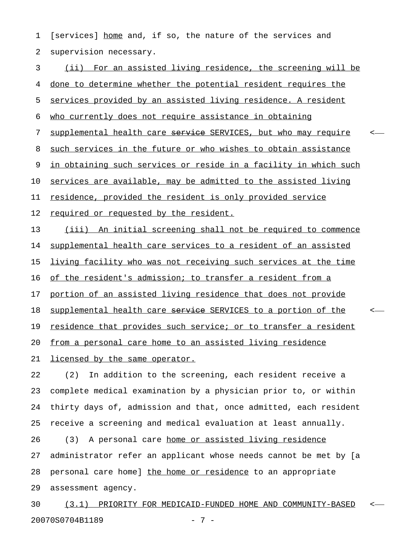1 [services] home and, if so, the nature of the services and 2 supervision necessary.

3 (ii) For an assisted living residence, the screening will be 4 done to determine whether the potential resident requires the 5 services provided by an assisted living residence. A resident 6 who currently does not require assistance in obtaining 7 supplemental health care service SERVICES, but who may require 8 such services in the future or who wishes to obtain assistance 9 in obtaining such services or reside in a facility in which such 10 services are available, may be admitted to the assisted living 11 residence, provided the resident is only provided service 12 required or requested by the resident. 13 (iii) An initial screening shall not be required to commence 14 supplemental health care services to a resident of an assisted 15 living facility who was not receiving such services at the time 16 of the resident's admission; to transfer a resident from a 17 portion of an assisted living residence that does not provide 18 supplemental health care service SERVICES to a portion of the  $\sim$ 19 residence that provides such service; or to transfer a resident 20 from a personal care home to an assisted living residence 21 licensed by the same operator. 22 (2) In addition to the screening, each resident receive a 23 complete medical examination by a physician prior to, or within

24 thirty days of, admission and that, once admitted, each resident 25 receive a screening and medical evaluation at least annually. 26 (3) A personal care home or assisted living residence 27 administrator refer an applicant whose needs cannot be met by [a 28 personal care home] the home or residence to an appropriate

29 assessment agency.

30 (3.1) PRIORITY FOR MEDICAID-FUNDED HOME AND COMMUNITY-BASED <-20070S0704B1189 - 7 -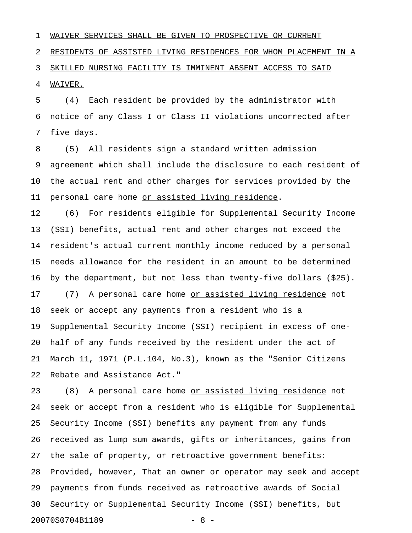1 WAIVER SERVICES SHALL BE GIVEN TO PROSPECTIVE OR CURRENT 2 RESIDENTS OF ASSISTED LIVING RESIDENCES FOR WHOM PLACEMENT IN A 3 SKILLED NURSING FACILITY IS IMMINENT ABSENT ACCESS TO SAID 4 **WAIVER.** 

5 (4) Each resident be provided by the administrator with 6 notice of any Class I or Class II violations uncorrected after 7 five days.

8 (5) All residents sign a standard written admission 9 agreement which shall include the disclosure to each resident of 10 the actual rent and other charges for services provided by the 11 personal care home or assisted living residence.

12 (6) For residents eligible for Supplemental Security Income 13 (SSI) benefits, actual rent and other charges not exceed the 14 resident's actual current monthly income reduced by a personal 15 needs allowance for the resident in an amount to be determined 16 by the department, but not less than twenty-five dollars (\$25). 17 (7) A personal care home <u>or assisted living residence</u> not 18 seek or accept any payments from a resident who is a 19 Supplemental Security Income (SSI) recipient in excess of one-20 half of any funds received by the resident under the act of 21 March 11, 1971 (P.L.104, No.3), known as the "Senior Citizens 22 Rebate and Assistance Act."

23 (8) A personal care home <u>or assisted living residence</u> not 24 seek or accept from a resident who is eligible for Supplemental 25 Security Income (SSI) benefits any payment from any funds 26 received as lump sum awards, gifts or inheritances, gains from 27 the sale of property, or retroactive government benefits: 28 Provided, however, That an owner or operator may seek and accept 29 payments from funds received as retroactive awards of Social 30 Security or Supplemental Security Income (SSI) benefits, but 20070S0704B1189 - 8 -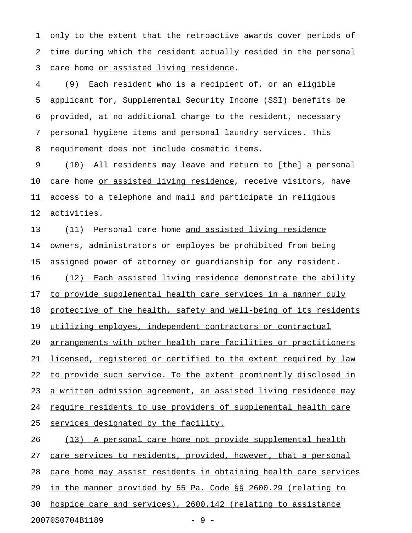1 only to the extent that the retroactive awards cover periods of 2 time during which the resident actually resided in the personal 3 care home or assisted living residence.

4 (9) Each resident who is a recipient of, or an eligible 5 applicant for, Supplemental Security Income (SSI) benefits be 6 provided, at no additional charge to the resident, necessary 7 personal hygiene items and personal laundry services. This 8 requirement does not include cosmetic items.

9 (10) All residents may leave and return to [the] a personal \_ 10 care home <u>or assisted living residence</u>, receive visitors, have 11 access to a telephone and mail and participate in religious 12 activities.

13 (11) Personal care home and assisted living residence 14 owners, administrators or employes be prohibited from being 15 assigned power of attorney or guardianship for any resident. 16 (12) Each assisted living residence demonstrate the ability 17 to provide supplemental health care services in a manner duly 18 protective of the health, safety and well-being of its residents 19 utilizing employes, independent contractors or contractual 20 arrangements with other health care facilities or practitioners 21 licensed, registered or certified to the extent required by law 22 to provide such service. To the extent prominently disclosed in 23 a written admission agreement, an assisted living residence may 24 require residents to use providers of supplemental health care 25 services designated by the facility. 26 (13) A personal care home not provide supplemental health

27 care services to residents, provided, however, that a personal

28 care home may assist residents in obtaining health care services

29 in the manner provided by 55 Pa. Code §§ 2600.29 (relating to

30 hospice care and services), 2600.142 (relating to assistance

20070S0704B1189 - 9 -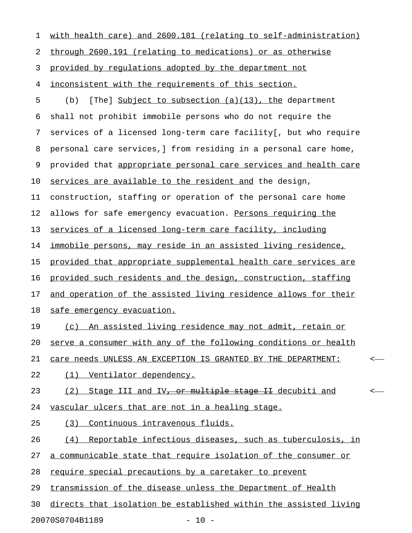| 1  | with health care) and 2600.181 (relating to self-administration)      |         |
|----|-----------------------------------------------------------------------|---------|
| 2  | through 2600.191 (relating to medications) or as otherwise            |         |
| 3  | provided by regulations adopted by the department not                 |         |
| 4  | inconsistent with the requirements of this section.                   |         |
| 5  | [The] Subject to subsection (a)(13), the department<br>(b)            |         |
| 6  | shall not prohibit immobile persons who do not require the            |         |
| 7  | services of a licensed long-term care facility [, but who require     |         |
| 8  | personal care services, I from residing in a personal care home,      |         |
| 9  | provided that appropriate personal care services and health care      |         |
| 10 | services are available to the resident and the design,                |         |
| 11 | construction, staffing or operation of the personal care home         |         |
| 12 | allows for safe emergency evacuation. Persons requiring the           |         |
| 13 | services of a licensed long-term care facility, including             |         |
| 14 | <u>immobile persons, may reside in an assisted living residence, </u> |         |
| 15 | provided that appropriate supplemental health care services are       |         |
| 16 | provided such residents and the design, construction, staffing        |         |
| 17 | and operation of the assisted living residence allows for their       |         |
| 18 | safe emergency evacuation.                                            |         |
| 19 | (c) An assisted living residence may not admit, retain or             |         |
| 20 | serve a consumer with any of the following conditions or health       |         |
| 21 | care needs UNLESS AN EXCEPTION IS GRANTED BY THE DEPARTMENT:          | $\,<\,$ |
| 22 | Ventilator dependency.<br>(1)                                         |         |
| 23 | Stage III and IV, or multiple stage II decubiti and<br>(2)            | <-      |
| 24 | <u>vascular ulcers that are not in a healing stage.</u>               |         |
| 25 | Continuous intravenous fluids.<br>(3)                                 |         |
| 26 | Reportable infectious diseases, such as tuberculosis, in<br>(4)       |         |
| 27 | a communicable state that require isolation of the consumer or        |         |
| 28 | require special precautions by a caretaker to prevent                 |         |
| 29 | transmission of the disease unless the Department of Health           |         |
| 30 | directs that isolation be established within the assisted living      |         |
|    | 20070S0704B1189<br>$-10 -$                                            |         |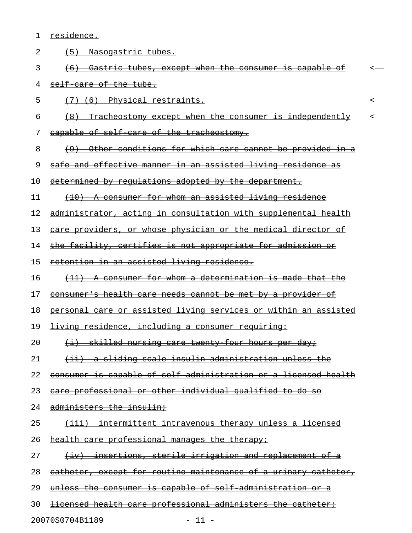1 residence.

2 (5) Nasogastric tubes. 3 (6) Gastric tubes, except when the consumer is capable of  $\sim$ 4 self-care of the tube.  $5$   $\left(7\right)$  (6) Physical restraints.  $6$   $(8)$  Tracheostomy except when the consumer is independently  $\sim$ 7 capable of self-care of the tracheostomy. 8 (9) Other conditions for which care cannot be provided in a 9 safe and effective manner in an assisted living residence as 10 determined by requlations adopted by the department. 11 (10) A consumer for whom an assisted living residence 12 administrator, acting in consultation with supplemental health 13 care providers, or whose physician or the medical director of 14 the facility, certifies is not appropriate for admission or 15 retention in an assisted living residence. 16 (11) A consumer for whom a determination is made that the 17 consumer's health care needs cannot be met by a provider of 18 personal care or assisted living services or within an assisted 19 <del>living residence, including a consumer requiring:</del> 20  $\longleftrightarrow$  skilled nursing care twenty four hours per day; 21 (ii) a sliding scale insulin administration unless the 22 consumer is capable of self-administration or a licensed health 23 care professional or other individual qualified to do so 24 administers the insulin; 25 (iii) intermittent intravenous therapy unless a licensed 26 health care professional manages the therapy; 27 (iv) insertions, sterile irrigation and replacement of a 28 catheter, except for routine maintenance of a urinary catheter, 29 unless the consumer is capable of self-administration or a 30 licensed health care professional administers the catheter; 20070S0704B1189 - 11 -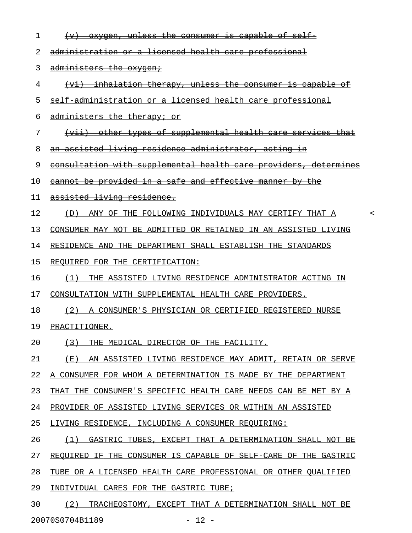| 1  | <u>oxygen, unless the consumer is capable of self-</u>           |
|----|------------------------------------------------------------------|
| 2  | administration or a licensed health care professional            |
| 3  | administers the oxygen:                                          |
| 4  | (vi) inhalation therapy, unless the consumer is capable of       |
| 5  | self administration or a licensed health care professional       |
| 6  | administers the therapy; or                                      |
| 7  | (vii) other types of supplemental health care services that      |
| 8  | an assisted living residence administrator, acting in            |
| 9  | consultation with supplemental health care providers, determines |
| 10 | cannot be provided in a safe and effective manner by the         |
| 11 | assisted living residence.                                       |
| 12 | ANY OF THE FOLLOWING INDIVIDUALS MAY CERTIFY THAT A<br>(D)<br>≺  |
| 13 | CONSUMER MAY NOT BE ADMITTED OR RETAINED IN AN ASSISTED LIVING   |
| 14 | RESIDENCE AND THE DEPARTMENT SHALL ESTABLISH THE STANDARDS       |
| 15 | REQUIRED FOR THE CERTIFICATION:                                  |
| 16 | (1)<br>THE ASSISTED LIVING RESIDENCE ADMINISTRATOR ACTING IN     |
| 17 | CONSULTATION WITH SUPPLEMENTAL HEALTH CARE PROVIDERS.            |
| 18 | (2)<br>A CONSUMER'S PHYSICIAN OR CERTIFIED REGISTERED NURSE      |
| 19 | PRACTITIONER.                                                    |
| 20 | (3)<br>THE MEDICAL DIRECTOR OF THE FACILITY.                     |
| 21 | ( E )<br>AN ASSISTED LIVING RESIDENCE MAY ADMIT, RETAIN OR SERVE |
| 22 | A CONSUMER FOR WHOM A DETERMINATION IS MADE BY THE DEPARTMENT    |
| 23 | THAT THE CONSUMER'S SPECIFIC HEALTH CARE NEEDS CAN BE MET BY A   |
| 24 | PROVIDER OF ASSISTED LIVING SERVICES OR WITHIN AN ASSISTED       |
| 25 | LIVING RESIDENCE, INCLUDING A CONSUMER REQUIRING:                |
| 26 | (1)<br>GASTRIC TUBES, EXCEPT THAT A DETERMINATION SHALL NOT BE   |
| 27 | REQUIRED IF THE CONSUMER IS CAPABLE OF SELF-CARE OF THE GASTRIC  |
| 28 | TUBE OR A LICENSED HEALTH CARE PROFESSIONAL OR OTHER QUALIFIED   |
| 29 | INDIVIDUAL CARES FOR THE GASTRIC TUBE;                           |
| 30 | (2)<br>TRACHEOSTOMY, EXCEPT THAT A DETERMINATION SHALL NOT BE    |
|    | 20070S0704B1189<br>$-12 -$                                       |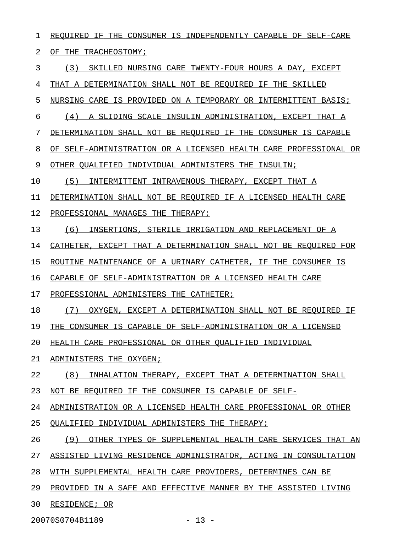1 REQUIRED IF THE CONSUMER IS INDEPENDENTLY CAPABLE OF SELF-CARE 2 OF THE TRACHEOSTOMY; 3 (3) SKILLED NURSING CARE TWENTY-FOUR HOURS A DAY, EXCEPT 4 THAT A DETERMINATION SHALL NOT BE REQUIRED IF THE SKILLED 5 NURSING CARE IS PROVIDED ON A TEMPORARY OR INTERMITTENT BASIS; 6 (4) A SLIDING SCALE INSULIN ADMINISTRATION, EXCEPT THAT A 7 DETERMINATION SHALL NOT BE REQUIRED IF THE CONSUMER IS CAPABLE 8 OF SELF-ADMINISTRATION OR A LICENSED HEALTH CARE PROFESSIONAL OR 9 OTHER QUALIFIED INDIVIDUAL ADMINISTERS THE INSULIN; 10 (5) INTERMITTENT INTRAVENOUS THERAPY, EXCEPT THAT A 11 DETERMINATION SHALL NOT BE REQUIRED IF A LICENSED HEALTH CARE 12 PROFESSIONAL MANAGES THE THERAPY; 13 (6) INSERTIONS, STERILE IRRIGATION AND REPLACEMENT OF A 14 CATHETER, EXCEPT THAT A DETERMINATION SHALL NOT BE REQUIRED FOR 15 ROUTINE MAINTENANCE OF A URINARY CATHETER, IF THE CONSUMER IS 16 CAPABLE OF SELF-ADMINISTRATION OR A LICENSED HEALTH CARE 17 PROFESSIONAL ADMINISTERS THE CATHETER; 18 (7) OXYGEN, EXCEPT A DETERMINATION SHALL NOT BE REQUIRED IF 19 THE CONSUMER IS CAPABLE OF SELF-ADMINISTRATION OR A LICENSED 20 HEALTH CARE PROFESSIONAL OR OTHER QUALIFIED INDIVIDUAL 21 ADMINISTERS THE OXYGEN; 22 (8) INHALATION THERAPY, EXCEPT THAT A DETERMINATION SHALL 23 NOT BE REQUIRED IF THE CONSUMER IS CAPABLE OF SELF-24 ADMINISTRATION OR A LICENSED HEALTH CARE PROFESSIONAL OR OTHER 25 OUALIFIED INDIVIDUAL ADMINISTERS THE THERAPY; 26 (9) OTHER TYPES OF SUPPLEMENTAL HEALTH CARE SERVICES THAT AN 27 ASSISTED LIVING RESIDENCE ADMINISTRATOR, ACTING IN CONSULTATION 28 WITH SUPPLEMENTAL HEALTH CARE PROVIDERS, DETERMINES CAN BE 29 PROVIDED IN A SAFE AND EFFECTIVE MANNER BY THE ASSISTED LIVING 30 RESIDENCE; OR

20070S0704B1189 - 13 -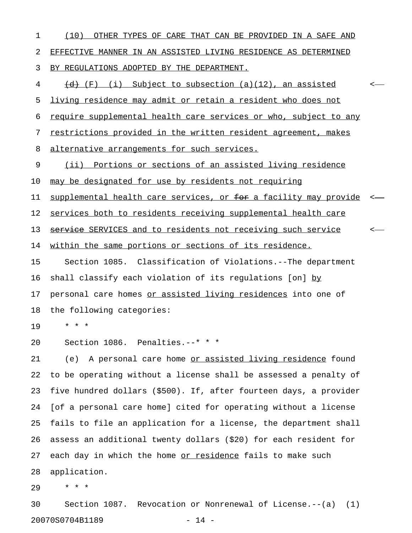| 1  | (10)<br>OTHER TYPES OF CARE THAT CAN BE PROVIDED IN A SAFE AND        |  |
|----|-----------------------------------------------------------------------|--|
| 2  | EFFECTIVE MANNER IN AN ASSISTED LIVING RESIDENCE AS DETERMINED        |  |
| 3  | BY REGULATIONS ADOPTED BY THE DEPARTMENT.                             |  |
| 4  | $\overline{\{d\}}$ (F) (i) Subject to subsection (a)(12), an assisted |  |
| 5  | living residence may admit or retain a resident who does not          |  |
| 6  | require supplemental health care services or who, subject to any      |  |
| 7  | restrictions provided in the written resident agreement, makes        |  |
| 8  | alternative arrangements for such services.                           |  |
| 9  | Portions or sections of an assisted living residence<br>(iii)         |  |
| 10 | may be designated for use by residents not requiring                  |  |
| 11 | supplemental health care services, or for a facility may provide      |  |
| 12 | services both to residents receiving supplemental health care         |  |
| 13 | service SERVICES and to residents not receiving such service          |  |
| 14 | within the same portions or sections of its residence.                |  |
| 15 | Section 1085. Classification of Violations.--The department           |  |
| 16 | shall classify each violation of its regulations [on] by              |  |
| 17 | personal care homes or assisted living residences into one of         |  |
| 18 | the following categories:                                             |  |
| 19 | $^{\star}$<br>$\star$<br>*                                            |  |
| 20 | Section 1086. Penalties.--* * *                                       |  |
| 21 | A personal care home or assisted living residence found<br>(e)        |  |
| 22 | to be operating without a license shall be assessed a penalty of      |  |
| 23 | five hundred dollars (\$500). If, after fourteen days, a provider     |  |
| 24 | [of a personal care home] cited for operating without a license       |  |
| 25 | fails to file an application for a license, the department shall      |  |
| 26 | assess an additional twenty dollars (\$20) for each resident for      |  |
| 27 | each day in which the home or residence fails to make such            |  |
| 28 | application.                                                          |  |
| 29 | * * *                                                                 |  |
| 30 | Section 1087. Revocation or Nonrenewal of License. $--(a)$ (1)        |  |

20070S0704B1189 - 14 -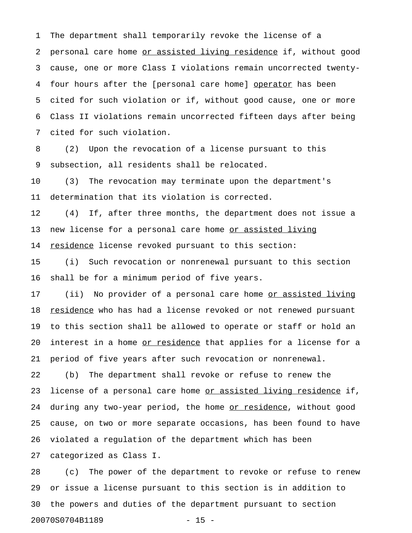1 The department shall temporarily revoke the license of a 2 personal care home or assisted living residence if, without good 3 cause, one or more Class I violations remain uncorrected twenty-4 four hours after the [personal care home] operator has been 5 cited for such violation or if, without good cause, one or more 6 Class II violations remain uncorrected fifteen days after being 7 cited for such violation.

8 (2) Upon the revocation of a license pursuant to this 9 subsection, all residents shall be relocated.

10 (3) The revocation may terminate upon the department's 11 determination that its violation is corrected.

12 (4) If, after three months, the department does not issue a 13 new license for a personal care home or assisted living 14 residence license revoked pursuant to this section:

15 (i) Such revocation or nonrenewal pursuant to this section 16 shall be for a minimum period of five years.

17 (ii) No provider of a personal care home <u>or assisted living</u> 18 residence who has had a license revoked or not renewed pursuant 19 to this section shall be allowed to operate or staff or hold an 20 interest in a home <u>or residence</u> that applies for a license for a 21 period of five years after such revocation or nonrenewal.

22 (b) The department shall revoke or refuse to renew the 23 license of a personal care home <u>or assisted living residence</u> if, 24 during any two-year period, the home or residence, without good 25 cause, on two or more separate occasions, has been found to have 26 violated a regulation of the department which has been

27 categorized as Class I.

28 (c) The power of the department to revoke or refuse to renew 29 or issue a license pursuant to this section is in addition to 30 the powers and duties of the department pursuant to section 20070S0704B1189 - 15 -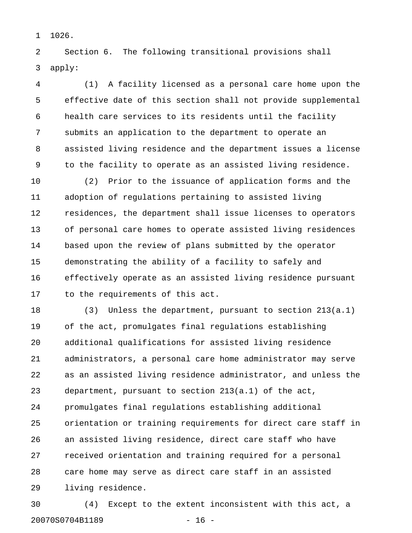1 1026.

2 Section 6. The following transitional provisions shall 3 apply:

4 (1) A facility licensed as a personal care home upon the 5 effective date of this section shall not provide supplemental 6 health care services to its residents until the facility 7 submits an application to the department to operate an 8 assisted living residence and the department issues a license 9 to the facility to operate as an assisted living residence.

10 (2) Prior to the issuance of application forms and the 11 adoption of regulations pertaining to assisted living 12 residences, the department shall issue licenses to operators 13 of personal care homes to operate assisted living residences 14 based upon the review of plans submitted by the operator 15 demonstrating the ability of a facility to safely and 16 effectively operate as an assisted living residence pursuant 17 to the requirements of this act.

18 (3) Unless the department, pursuant to section 213(a.1) 19 of the act, promulgates final regulations establishing 20 additional qualifications for assisted living residence 21 administrators, a personal care home administrator may serve 22 as an assisted living residence administrator, and unless the 23 department, pursuant to section 213(a.1) of the act, 24 promulgates final regulations establishing additional 25 orientation or training requirements for direct care staff in 26 an assisted living residence, direct care staff who have 27 received orientation and training required for a personal 28 care home may serve as direct care staff in an assisted 29 living residence.

30 (4) Except to the extent inconsistent with this act, a 20070S0704B1189 - 16 -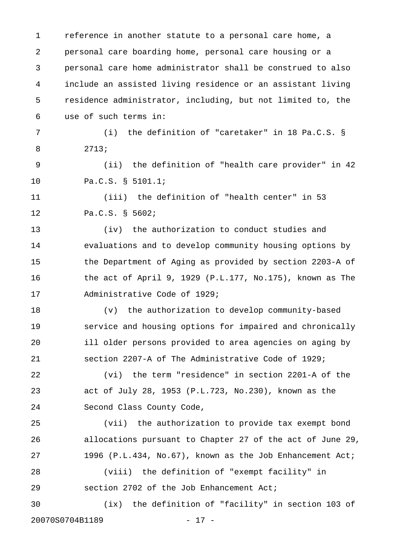1 reference in another statute to a personal care home, a 2 personal care boarding home, personal care housing or a 3 personal care home administrator shall be construed to also 4 include an assisted living residence or an assistant living 5 residence administrator, including, but not limited to, the 6 use of such terms in: 7 (i) the definition of "caretaker" in 18 Pa.C.S. § 8 2713; 9 (ii) the definition of "health care provider" in 42 10 Pa.C.S. § 5101.1; 11 (iii) the definition of "health center" in 53 12 Pa.C.S. § 5602; 13 (iv) the authorization to conduct studies and 14 evaluations and to develop community housing options by 15 the Department of Aging as provided by section 2203-A of 16 the act of April 9, 1929 (P.L.177, No.175), known as The 17 Administrative Code of 1929; 18 (v) the authorization to develop community-based 19 service and housing options for impaired and chronically 20 ill older persons provided to area agencies on aging by 21 section 2207-A of The Administrative Code of 1929; 22 (vi) the term "residence" in section 2201-A of the 23 act of July 28, 1953 (P.L.723, No.230), known as the 24 Second Class County Code, 25 (vii) the authorization to provide tax exempt bond 26 allocations pursuant to Chapter 27 of the act of June 29, 27 1996 (P.L.434, No.67), known as the Job Enhancement Act; 28 (viii) the definition of "exempt facility" in 29 section 2702 of the Job Enhancement Act; 30 (ix) the definition of "facility" in section 103 of 20070S0704B1189 - 17 -